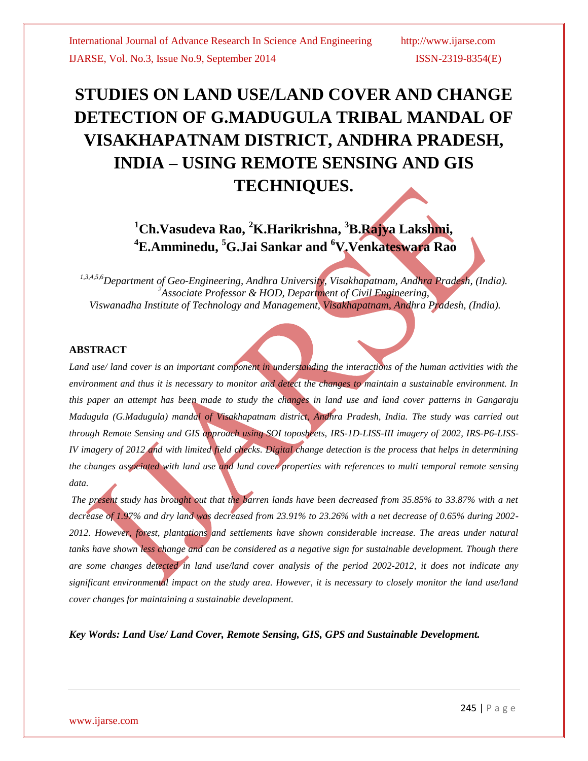# **STUDIES ON LAND USE/LAND COVER AND CHANGE DETECTION OF G.MADUGULA TRIBAL MANDAL OF VISAKHAPATNAM DISTRICT, ANDHRA PRADESH, INDIA – USING REMOTE SENSING AND GIS TECHNIQUES.**

## **<sup>1</sup>Ch.Vasudeva Rao, <sup>2</sup>K.Harikrishna, <sup>3</sup>B.Rajya Lakshmi, <sup>4</sup>E.Amminedu, <sup>5</sup>G.Jai Sankar and <sup>6</sup>V.Venkateswara Rao**

*1,3,4,5,6Department of Geo-Engineering, Andhra University, Visakhapatnam, Andhra Pradesh, (India). <sup>2</sup>Associate Professor & HOD, Department of Civil Engineering, Viswanadha Institute of Technology and Management, Visakhapatnam, Andhra Pradesh, (India).*

## **ABSTRACT**

Land use/land cover is an important component in understanding the interactions of the human activities with the *environment and thus it is necessary to monitor and detect the changes to maintain a sustainable environment. In this paper an attempt has been made to study the changes in land use and land cover patterns in Gangaraju Madugula (G.Madugula) mandal of Visakhapatnam district, Andhra Pradesh, India. The study was carried out through Remote Sensing and GIS approach using SOI toposheets, IRS-1D-LISS-III imagery of 2002, IRS-P6-LISS-IV imagery of 2012 and with limited field checks. Digital change detection is the process that helps in determining the changes associated with land use and land cover properties with references to multi temporal remote sensing data.*

*The present study has brought out that the barren lands have been decreased from 35.85% to 33.87% with a net decrease of 1.97% and dry land was decreased from 23.91% to 23.26% with a net decrease of 0.65% during 2002- 2012. However, forest, plantations and settlements have shown considerable increase. The areas under natural*  tanks have shown less change and can be considered as a negative sign for sustainable development. Though there *are some changes detected in land use/land cover analysis of the period 2002-2012, it does not indicate any significant environmental impact on the study area. However, it is necessary to closely monitor the land use/land cover changes for maintaining a sustainable development.*

*Key Words: Land Use/ Land Cover, Remote Sensing, GIS, GPS and Sustainable Development.*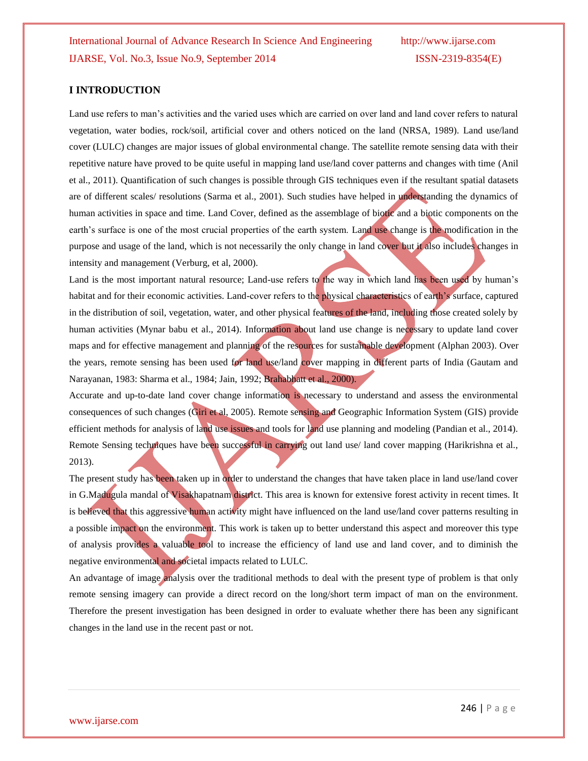### **I INTRODUCTION**

Land use refers to man's activities and the varied uses which are carried on over land and land cover refers to natural vegetation, water bodies, rock/soil, artificial cover and others noticed on the land (NRSA, 1989). Land use/land cover (LULC) changes are major issues of global environmental change. The satellite remote sensing data with their repetitive nature have proved to be quite useful in mapping land use/land cover patterns and changes with time (Anil et al., 2011). Quantification of such changes is possible through GIS techniques even if the resultant spatial datasets are of different scales/ resolutions (Sarma et al., 2001). Such studies have helped in understanding the dynamics of human activities in space and time. Land Cover, defined as the assemblage of biotic and a biotic components on the earth's surface is one of the most crucial properties of the earth system. Land use change is the modification in the purpose and usage of the land, which is not necessarily the only change in land cover but it also includes changes in intensity and management (Verburg, et al, 2000).

Land is the most important natural resource; Land-use refers to the way in which land has been used by human's habitat and for their economic activities. Land-cover refers to the physical characteristics of earth's surface, captured in the distribution of soil, vegetation, water, and other physical features of the land, including those created solely by human activities (Mynar babu et al., 2014). Information about land use change is necessary to update land cover maps and for effective management and planning of the resources for sustainable development (Alphan 2003). Over the years, remote sensing has been used for land use/land cover mapping in different parts of India (Gautam and Narayanan, 1983: Sharma et al., 1984; Jain, 1992; Brahabhatt et al., 2000).

Accurate and up-to-date land cover change information is necessary to understand and assess the environmental consequences of such changes (Giri et al, 2005). Remote sensing and Geographic Information System (GIS) provide efficient methods for analysis of land use issues and tools for land use planning and modeling (Pandian et al., 2014). Remote Sensing techniques have been successful in carrying out land use/ land cover mapping (Harikrishna et al., 2013).

The present study has been taken up in order to understand the changes that have taken place in land use/land cover in G.Madugula mandal of Visakhapatnam district. This area is known for extensive forest activity in recent times. It is believed that this aggressive human activity might have influenced on the land use/land cover patterns resulting in a possible impact on the environment. This work is taken up to better understand this aspect and moreover this type of analysis provides a valuable tool to increase the efficiency of land use and land cover, and to diminish the negative environmental and societal impacts related to LULC.

An advantage of image analysis over the traditional methods to deal with the present type of problem is that only remote sensing imagery can provide a direct record on the long/short term impact of man on the environment. Therefore the present investigation has been designed in order to evaluate whether there has been any significant changes in the land use in the recent past or not.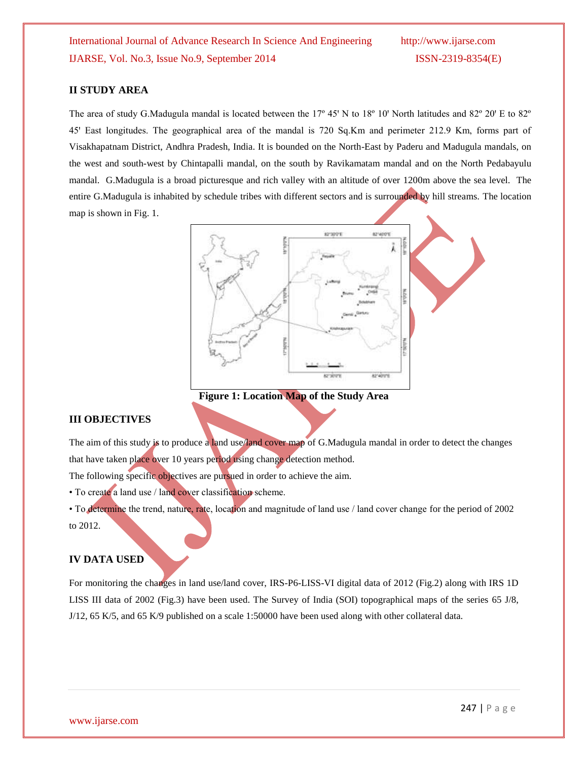## **II STUDY AREA**

The area of study G.Madugula mandal is located between the  $17^{\circ}$  45' N to  $18^{\circ}$  10' North latitudes and  $82^{\circ}$  20' E to  $82^{\circ}$ 45' East longitudes. The geographical area of the mandal is 720 Sq.Km and perimeter 212.9 Km, forms part of Visakhapatnam District, Andhra Pradesh, India. It is bounded on the North-East by Paderu and Madugula mandals, on the west and south-west by Chintapalli mandal, on the south by Ravikamatam mandal and on the North Pedabayulu mandal. G.Madugula is a broad picturesque and rich valley with an altitude of over 1200m above the sea level. The entire G.Madugula is inhabited by schedule tribes with different sectors and is surrounded by hill streams. The location map is shown in Fig. 1.



**Figure 1: Location Map of the Study Area**

#### **III OBJECTIVES**

The aim of this study is to produce a land use/land cover map of G.Madugula mandal in order to detect the changes that have taken place over 10 years period using change detection method.

The following specific objectives are pursued in order to achieve the aim.

• To create a land use / land cover classification scheme.

• To determine the trend, nature, rate, location and magnitude of land use / land cover change for the period of 2002 to 2012.

#### **IV DATA USED**

For monitoring the changes in land use/land cover, IRS-P6-LISS-VI digital data of 2012 (Fig.2) along with IRS 1D LISS III data of 2002 (Fig.3) have been used. The Survey of India (SOI) topographical maps of the series 65 J/8, J/12, 65 K/5, and 65 K/9 published on a scale 1:50000 have been used along with other collateral data.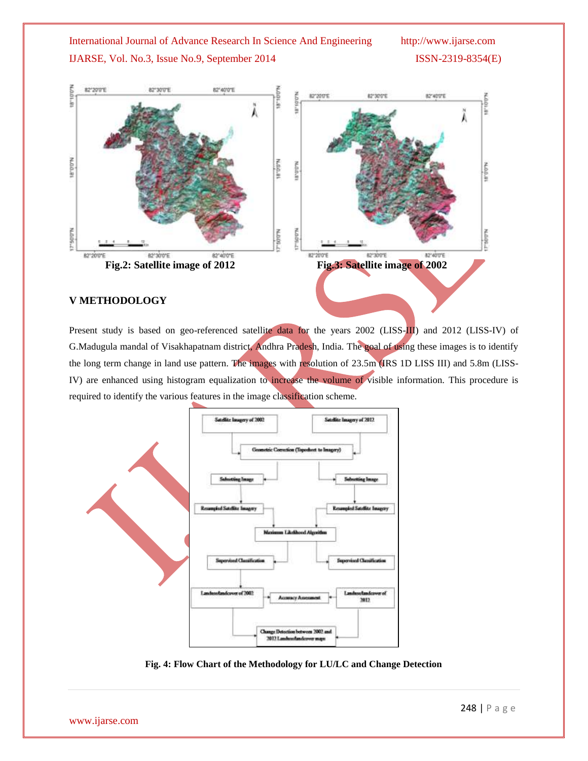

Present study is based on geo-referenced satellite data for the years 2002 (LISS-III) and 2012 (LISS-IV) of G.Madugula mandal of Visakhapatnam district, Andhra Pradesh, India. The goal of using these images is to identify the long term change in land use pattern. The images with resolution of 23.5m (IRS 1D LISS III) and 5.8m (LISS-IV) are enhanced using histogram equalization to increase the volume of visible information. This procedure is required to identify the various features in the image classification scheme.



**Fig. 4: Flow Chart of the Methodology for LU/LC and Change Detection**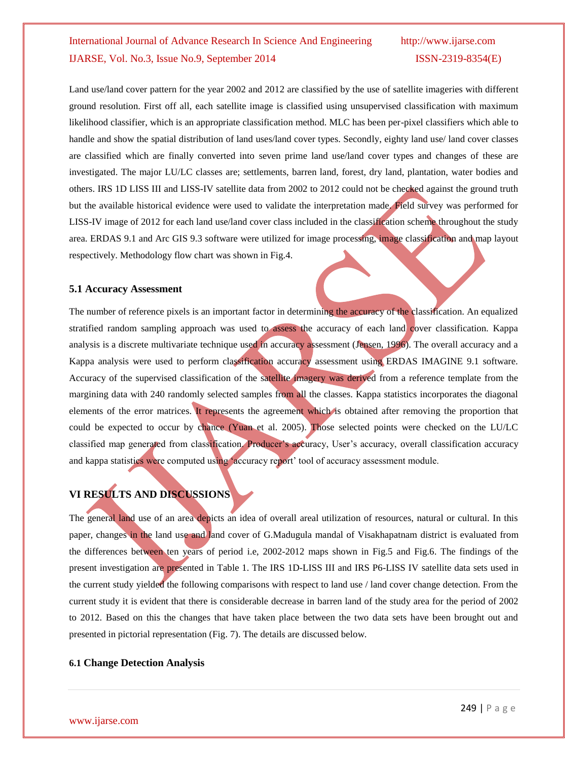Land use/land cover pattern for the year 2002 and 2012 are classified by the use of satellite imageries with different ground resolution. First off all, each satellite image is classified using unsupervised classification with maximum likelihood classifier, which is an appropriate classification method. MLC has been per-pixel classifiers which able to handle and show the spatial distribution of land uses/land cover types. Secondly, eighty land use/ land cover classes are classified which are finally converted into seven prime land use/land cover types and changes of these are investigated. The major LU/LC classes are; settlements, barren land, forest, dry land, plantation, water bodies and others. IRS 1D LISS III and LISS-IV satellite data from 2002 to 2012 could not be checked against the ground truth but the available historical evidence were used to validate the interpretation made. Field survey was performed for LISS-IV image of 2012 for each land use/land cover class included in the classification scheme throughout the study area. ERDAS 9.1 and Arc GIS 9.3 software were utilized for image processing, image classification and map layout respectively. Methodology flow chart was shown in Fig.4.

### **5.1 Accuracy Assessment**

The number of reference pixels is an important factor in determining the accuracy of the classification. An equalized stratified random sampling approach was used to assess the accuracy of each land cover classification. Kappa analysis is a discrete multivariate technique used in accuracy assessment (Jensen, 1996). The overall accuracy and a Kappa analysis were used to perform classification accuracy assessment using ERDAS IMAGINE 9.1 software. Accuracy of the supervised classification of the satellite imagery was derived from a reference template from the margining data with 240 randomly selected samples from all the classes. Kappa statistics incorporates the diagonal elements of the error matrices. It represents the agreement which is obtained after removing the proportion that could be expected to occur by chance (Yuan et al. 2005). Those selected points were checked on the LU/LC classified map generated from classification. Producer's accuracy, User's accuracy, overall classification accuracy and kappa statistics were computed using 'accuracy report' tool of accuracy assessment module.

## **VI RESULTS AND DISCUSSIONS**

The general land use of an area depicts an idea of overall areal utilization of resources, natural or cultural. In this paper, changes in the land use and land cover of G.Madugula mandal of Visakhapatnam district is evaluated from the differences between ten years of period i.e, 2002-2012 maps shown in Fig.5 and Fig.6. The findings of the present investigation are presented in Table 1. The IRS 1D-LISS III and IRS P6-LISS IV satellite data sets used in the current study yielded the following comparisons with respect to land use / land cover change detection. From the current study it is evident that there is considerable decrease in barren land of the study area for the period of 2002 to 2012. Based on this the changes that have taken place between the two data sets have been brought out and presented in pictorial representation (Fig. 7). The details are discussed below.

## **6.1 Change Detection Analysis**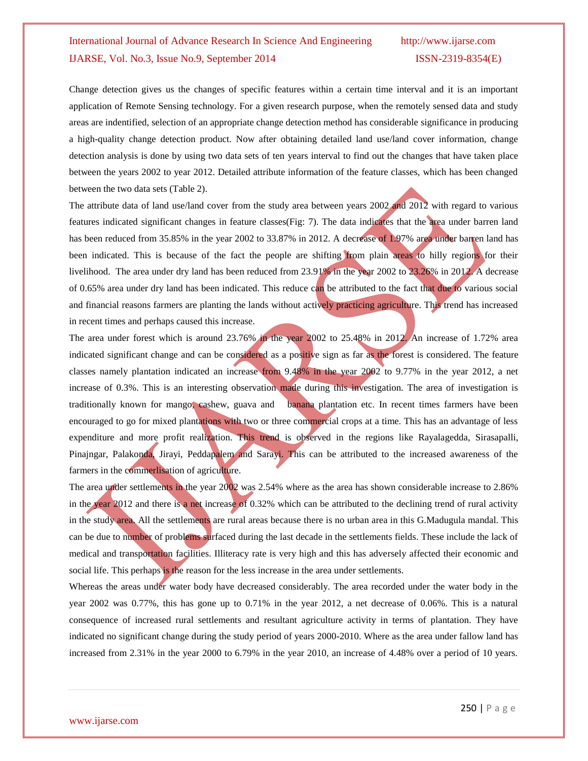Change detection gives us the changes of specific features within a certain time interval and it is an important application of Remote Sensing technology. For a given research purpose, when the remotely sensed data and study areas are indentified, selection of an appropriate change detection method has considerable significance in producing a high-quality change detection product. Now after obtaining detailed land use/land cover information, change detection analysis is done by using two data sets of ten years interval to find out the changes that have taken place between the years 2002 to year 2012. Detailed attribute information of the feature classes, which has been changed between the two data sets (Table 2).

The attribute data of land use/land cover from the study area between years 2002 and 2012 with regard to various features indicated significant changes in feature classes(Fig: 7). The data indicates that the area under barren land has been reduced from 35.85% in the year 2002 to 33.87% in 2012. A decrease of 1.97% area under barren land has been indicated. This is because of the fact the people are shifting from plain areas to hilly regions for their livelihood. The area under dry land has been reduced from 23.91% in the year 2002 to 23.26% in 2012. A decrease of 0.65% area under dry land has been indicated. This reduce can be attributed to the fact that due to various social and financial reasons farmers are planting the lands without actively practicing agriculture. This trend has increased in recent times and perhaps caused this increase.

The area under forest which is around 23.76% in the year 2002 to 25.48% in 2012. An increase of 1.72% area indicated significant change and can be considered as a positive sign as far as the forest is considered. The feature classes namely plantation indicated an increase from 9.48% in the year 2002 to 9.77% in the year 2012, a net increase of 0.3%. This is an interesting observation made during this investigation. The area of investigation is traditionally known for mango, cashew, guava and banana plantation etc. In recent times farmers have been encouraged to go for mixed plantations with two or three commercial crops at a time. This has an advantage of less expenditure and more profit realization. This trend is observed in the regions like Rayalagedda, Sirasapalli, Pinajngar, Palakonda, Jirayi, Peddapalem and Sarayi. This can be attributed to the increased awareness of the farmers in the commerlisation of agriculture.

The area under settlements in the year 2002 was 2.54% where as the area has shown considerable increase to 2.86% in the year 2012 and there is a net increase of 0.32% which can be attributed to the declining trend of rural activity in the study area. All the settlements are rural areas because there is no urban area in this G.Madugula mandal. This can be due to number of problems surfaced during the last decade in the settlements fields. These include the lack of medical and transportation facilities. Illiteracy rate is very high and this has adversely affected their economic and social life. This perhaps is the reason for the less increase in the area under settlements.

Whereas the areas under water body have decreased considerably. The area recorded under the water body in the year 2002 was 0.77%, this has gone up to 0.71% in the year 2012, a net decrease of 0.06%. This is a natural consequence of increased rural settlements and resultant agriculture activity in terms of plantation. They have indicated no significant change during the study period of years 2000-2010. Where as the area under fallow land has increased from 2.31% in the year 2000 to 6.79% in the year 2010, an increase of 4.48% over a period of 10 years.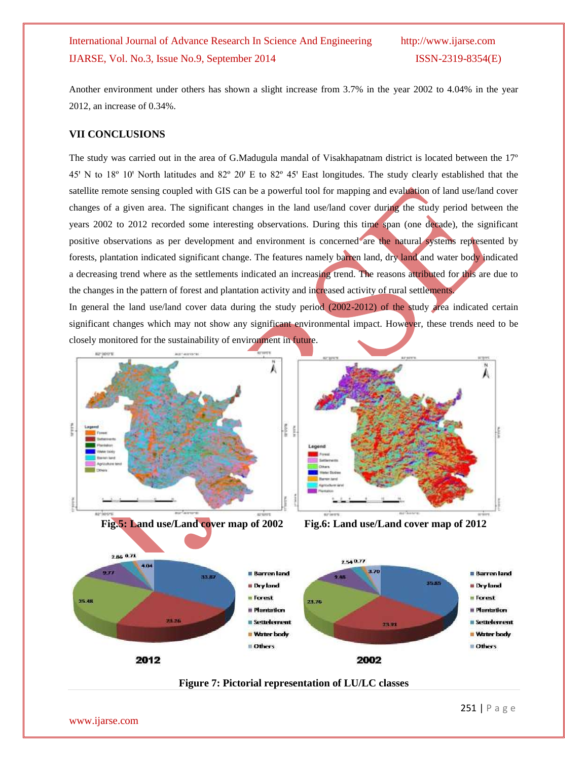Another environment under others has shown a slight increase from 3.7% in the year 2002 to 4.04% in the year 2012, an increase of 0.34%.

## **VII CONCLUSIONS**

The study was carried out in the area of G.Madugula mandal of Visakhapatnam district is located between the 17º 45' N to 18° 10' North latitudes and 82° 20' E to 82° 45' East longitudes. The study clearly established that the satellite remote sensing coupled with GIS can be a powerful tool for mapping and evaluation of land use/land cover changes of a given area. The significant changes in the land use/land cover during the study period between the years 2002 to 2012 recorded some interesting observations. During this time span (one decade), the significant positive observations as per development and environment is concerned are the natural systems represented by forests, plantation indicated significant change. The features namely barren land, dry land and water body indicated a decreasing trend where as the settlements indicated an increasing trend. The reasons attributed for this are due to the changes in the pattern of forest and plantation activity and increased activity of rural settlements.

In general the land use/land cover data during the study period (2002-2012) of the study area indicated certain significant changes which may not show any significant environmental impact. However, these trends need to be closely monitored for the sustainability of environment in future.









 $25.48$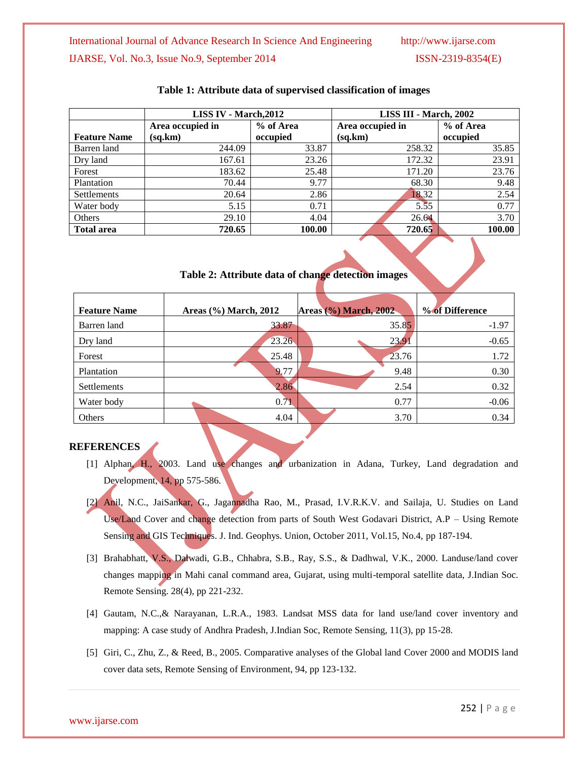|                     | LISS IV - March, 2012 |           | LISS III - March, 2002 |           |
|---------------------|-----------------------|-----------|------------------------|-----------|
|                     | Area occupied in      | % of Area | Area occupied in       | % of Area |
| <b>Feature Name</b> | (sq, km)              | occupied  | (sq.km)                | occupied  |
| Barren land         | 244.09                | 33.87     | 258.32                 | 35.85     |
| Dry land            | 167.61                | 23.26     | 172.32                 | 23.91     |
| Forest              | 183.62                | 25.48     | 171.20                 | 23.76     |
| Plantation          | 70.44                 | 9.77      | 68.30                  | 9.48      |
| Settlements         | 20.64                 | 2.86      | 18.32                  | 2.54      |
| Water body          | 5.15                  | 0.71      | 5.55                   | 0.77      |
| Others              | 29.10                 | 4.04      | 26.64                  | 3.70      |
| <b>Total area</b>   | 720.65                | 100.00    | 720.65                 | 100.00    |

### **Table 1: Attribute data of supervised classification of images**

**Table 2: Attribute data of change detection images**

| <b>Feature Name</b> | Areas (%) March, 2012 | <b>Areas (%) March, 2002</b> | % of Difference |
|---------------------|-----------------------|------------------------------|-----------------|
| Barren land         | 33.87                 | 35.85                        | $-1.97$         |
| Dry land            | 23.26                 | 23.91                        | $-0.65$         |
| Forest              | 25.48                 | 23.76                        | 1.72            |
| Plantation          | 9.77                  | 9.48                         | 0.30            |
| Settlements         | 2.86                  | 2.54                         | 0.32            |
| Water body          | 0.71                  | 0.77                         | $-0.06$         |
| Others              | 4.04                  | 3.70                         | 0.34            |

## **REFERENCES**

- [1] Alphan, H., 2003. Land use changes and urbanization in Adana, Turkey, Land degradation and Development, 14, pp 575-586.
- [2] Anil, N.C., JaiSankar, G., Jagannadha Rao, M., Prasad, I.V.R.K.V. and Sailaja, U. Studies on Land Use/Land Cover and change detection from parts of South West Godavari District, A.P – Using Remote Sensing and GIS Techniques. J. Ind. Geophys. Union, October 2011, Vol.15, No.4, pp 187-194.
- [3] Brahabhatt, V.S., Dalwadi, G.B., Chhabra, S.B., Ray, S.S., & Dadhwal, V.K., 2000. Landuse/land cover changes mapping in Mahi canal command area, Gujarat, using multi-temporal satellite data, J.Indian Soc. Remote Sensing. 28(4), pp 221-232.
- [4] Gautam, N.C.,& Narayanan, L.R.A., 1983. Landsat MSS data for land use/land cover inventory and mapping: A case study of Andhra Pradesh, J.Indian Soc, Remote Sensing, 11(3), pp 15-28.
- [5] Giri, C., Zhu, Z., & Reed, B., 2005. Comparative analyses of the Global land Cover 2000 and MODIS land cover data sets, Remote Sensing of Environment, 94, pp 123-132.